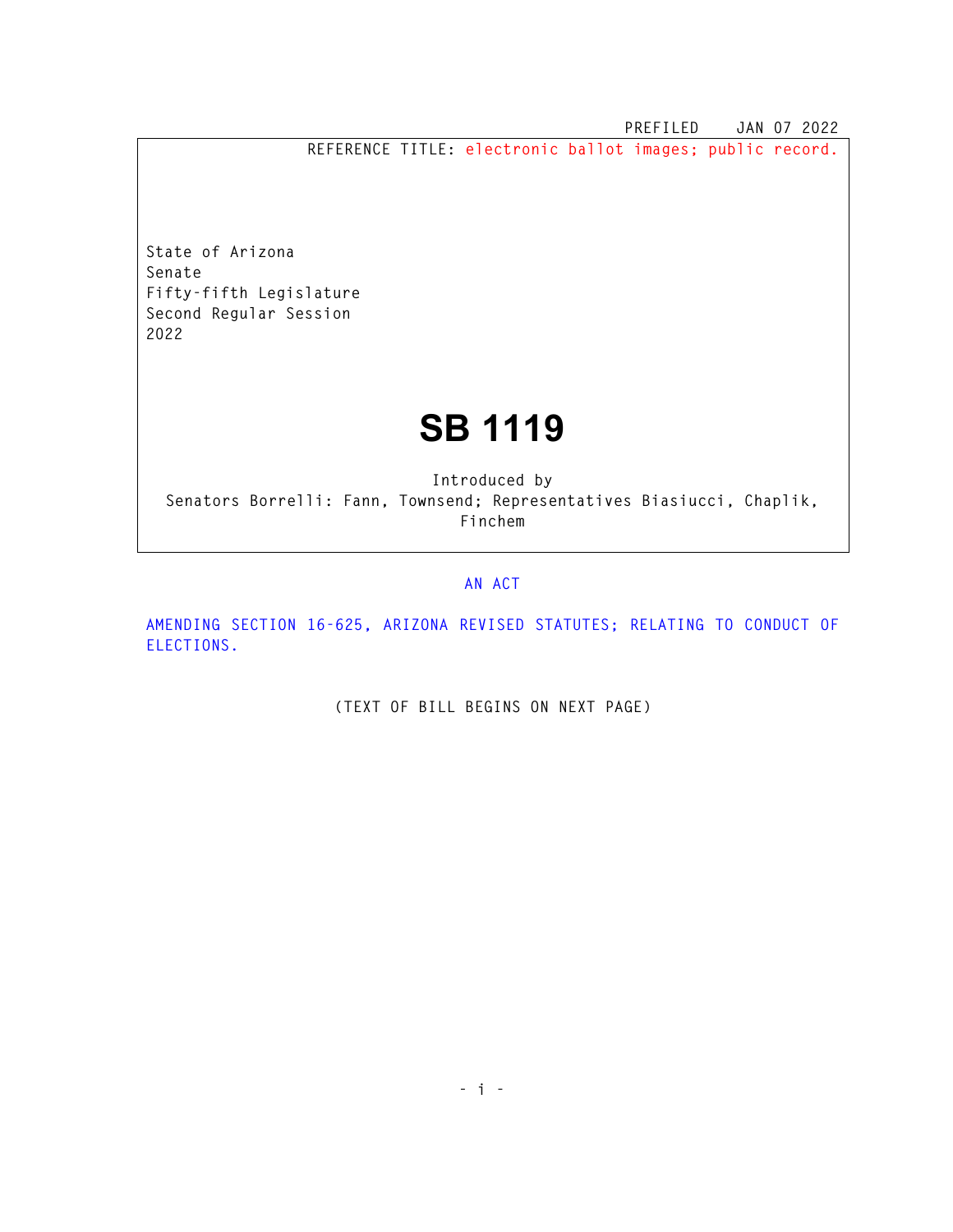**PREFILED JAN 07 2022** 

**REFERENCE TITLE: electronic ballot images; public record.** 

**State of Arizona Senate Fifty-fifth Legislature Second Regular Session 2022** 

## **SB 1119**

**Introduced by Senators Borrelli: Fann, Townsend; Representatives Biasiucci, Chaplik, Finchem** 

## **AN ACT**

**AMENDING SECTION 16-625, ARIZONA REVISED STATUTES; RELATING TO CONDUCT OF ELECTIONS.** 

**(TEXT OF BILL BEGINS ON NEXT PAGE)**